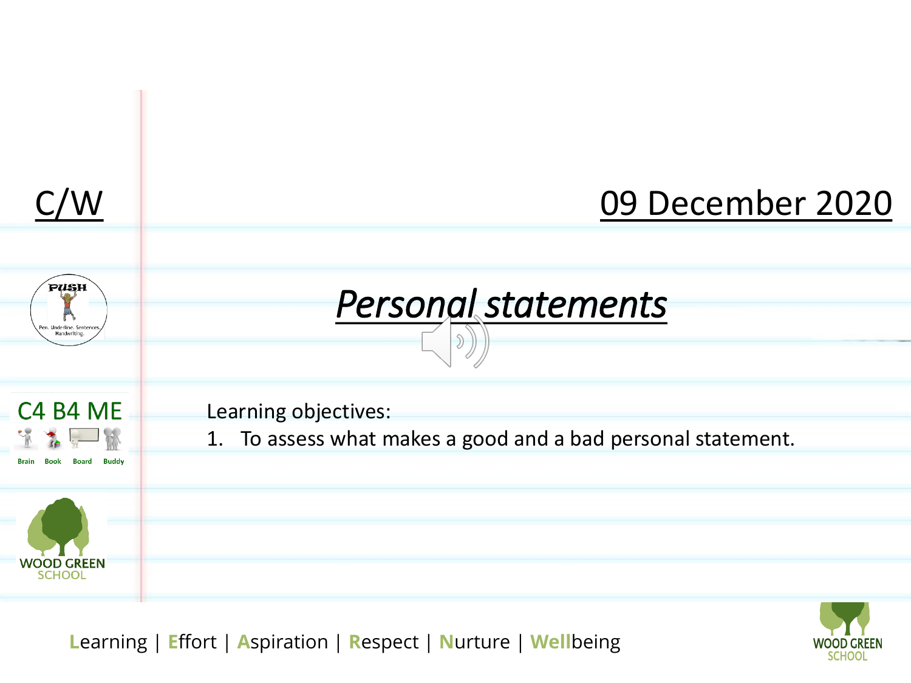

![](_page_0_Picture_2.jpeg)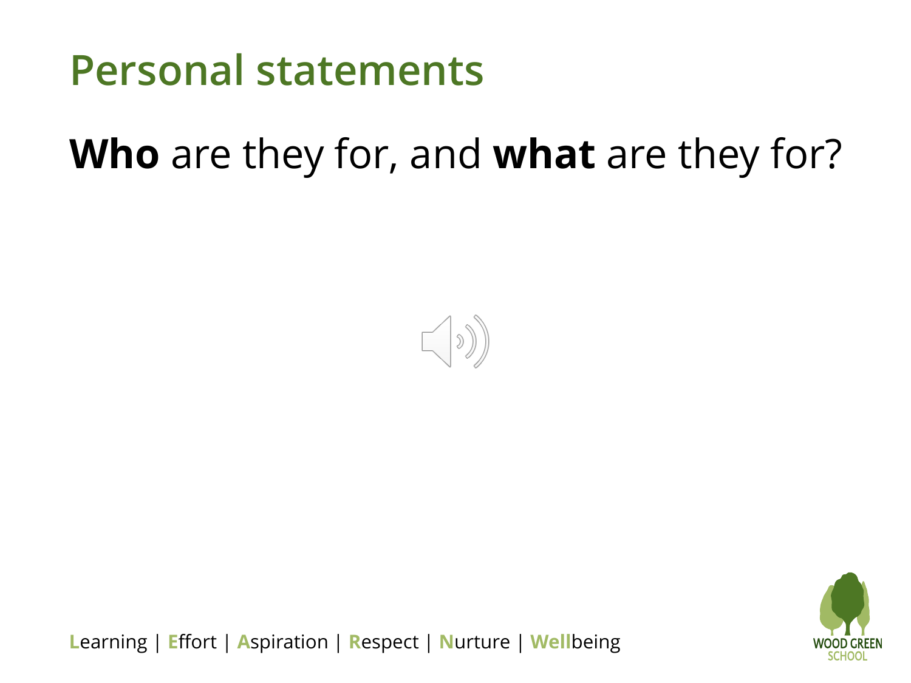![](_page_1_Picture_0.jpeg)

#### **Who** are they for, and **what** are they for?

![](_page_1_Picture_2.jpeg)

![](_page_1_Picture_3.jpeg)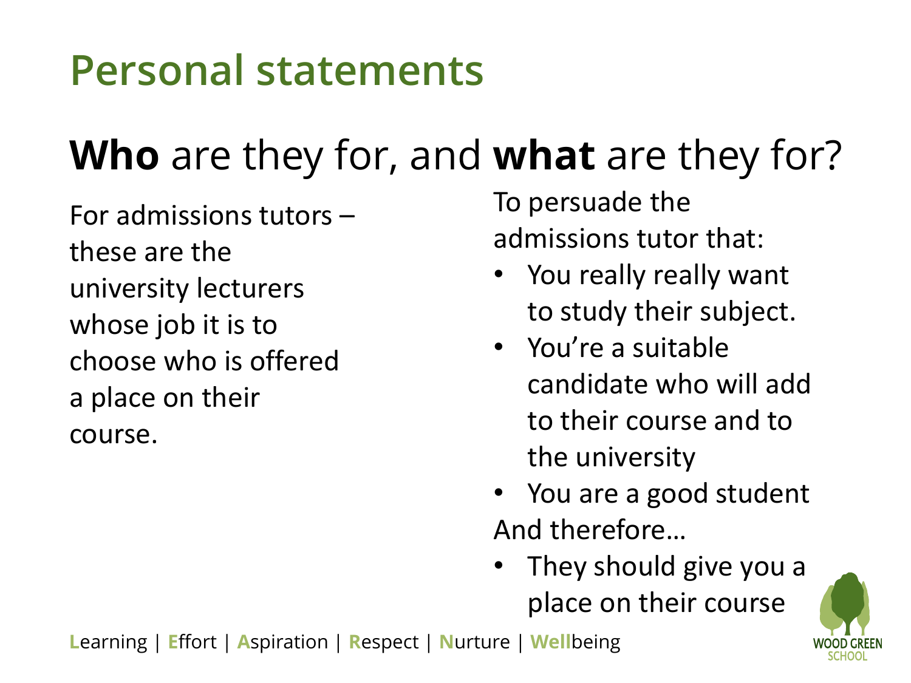### **Personal statements**

## **Who** are they for, and **what** are they for?

For admissions tutors – these are the university lecturers whose job it is to choose who is offered a place on their course.

To persuade the admissions tutor that:

- You really really want to study their subject.
- You're a suitable candidate who will add to their course and to the university
- You are a good student And therefore…
- They should give you a place on their course

![](_page_2_Picture_8.jpeg)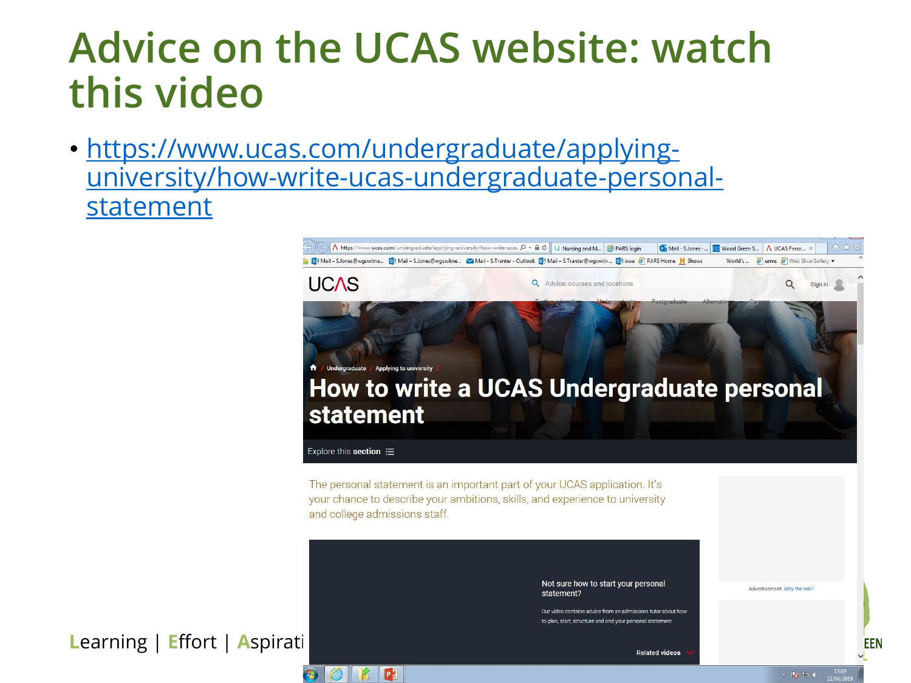#### **Advice on the UCAS website: watch this video**

• https://www.ucas.com/undergraduate/applying[university/how-write-ucas-undergraduate-personal](https://www.ucas.com/undergraduate/applying-university/how-write-ucas-undergraduate-personal-statement)statement

 $P^2$ 

![](_page_3_Picture_2.jpeg)

**Learning | Effort | Aspiration | Respect | Respect | Respect | Respect | Respect | Respect | Respect | Respect | Respect | Respect | Respect | Respect | Respect | Respect | Respect | Respect | Respect | Respect | Respect** 

**Related videos** 

Our video contains advice from an admissions tutor about how to plan, start, structure and end your personal statement

**EEN**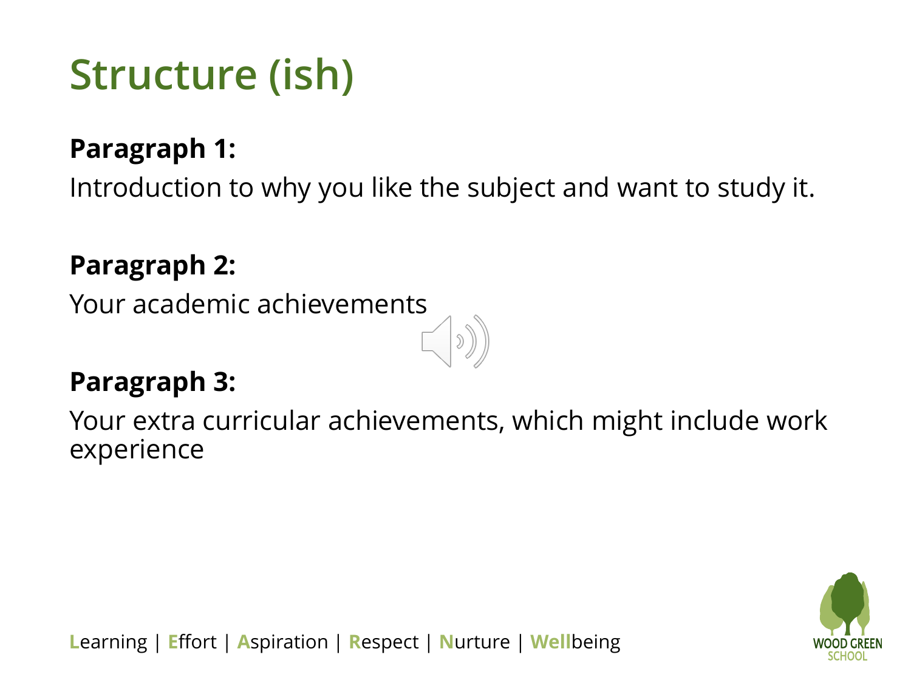### **Structure (ish)**

#### **Paragraph 1:**

Introduction to why you like the subject and want to study it.

#### **Paragraph 2:**

Your academic achievements

#### **Paragraph 3:**

Your extra curricular achievements, which might include work experience

![](_page_4_Picture_7.jpeg)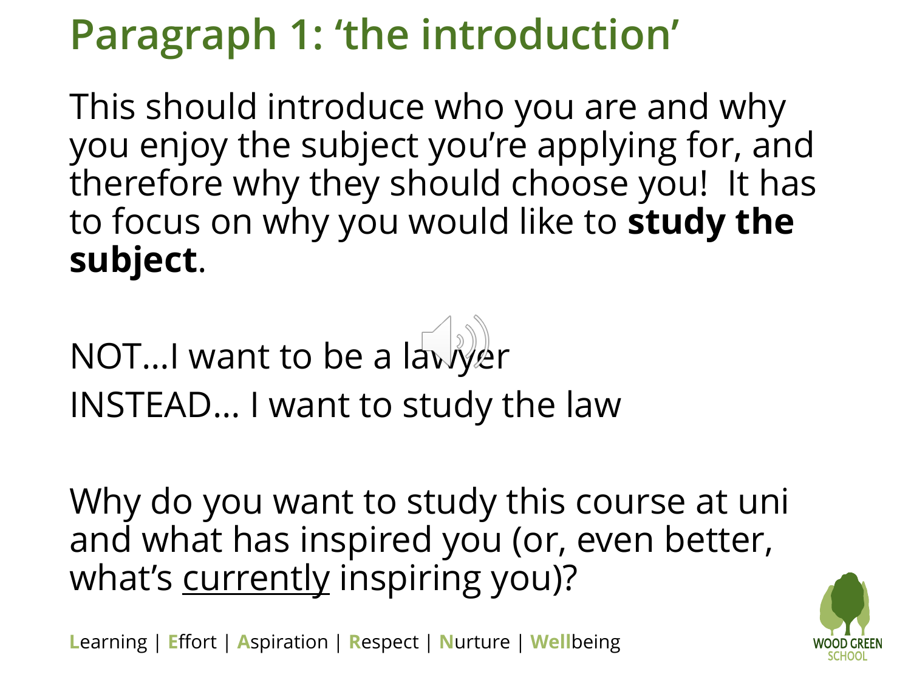## **Paragraph 1: 'the introduction'**

This should introduce who you are and why you enjoy the subject you're applying for, and therefore why they should choose you! It has to focus on why you would like to **study the subject**.

NOT…I want to be a lawyer INSTEAD… I want to study the law

Why do you want to study this course at uni and what has inspired you (or, even better, what's currently inspiring you)?

![](_page_5_Picture_5.jpeg)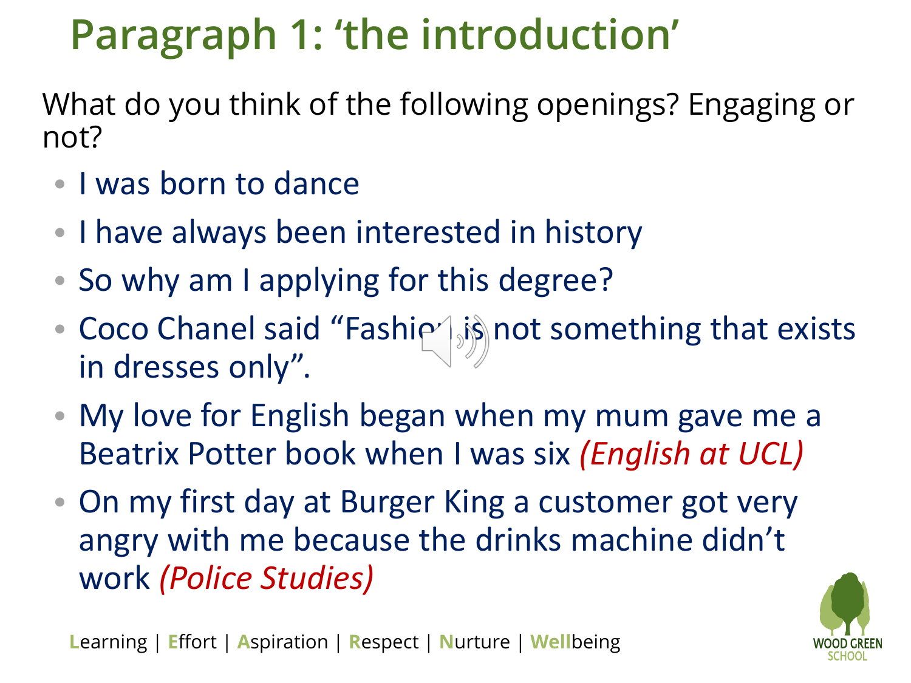## **Paragraph 1: 'the introduction'**

What do you think of the following openings? Engaging or not?

- I was born to dance
- I have always been interested in history
- So why am I applying for this degree?
- Coco Chanel said "Fashi $\sim$  is not something that exists in dresses only".
- My love for English began when my mum gave me a Beatrix Potter book when I was six *(English at UCL)*
- On my first day at Burger King a customer got very angry with me because the drinks machine didn't work *(Police Studies)*

![](_page_6_Picture_8.jpeg)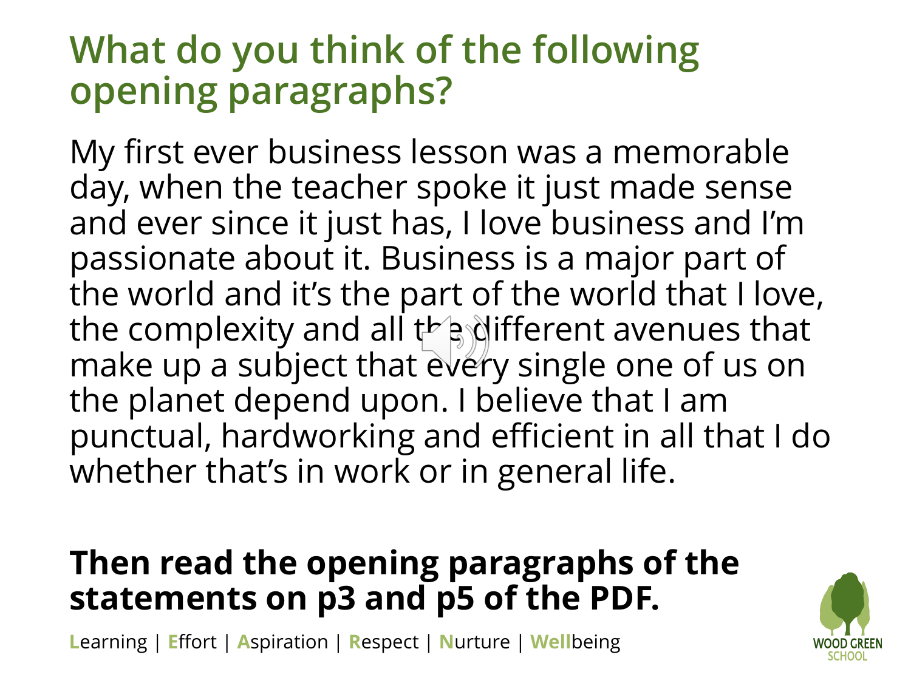#### **What do you think of the following opening paragraphs?**

My first ever business lesson was a memorable day, when the teacher spoke it just made sense and ever since it just has, I love business and I'm passionate about it. Business is a major part of the world and it's the part of the world that I love, the complexity and all  $t^b$  and the complexity and all  $t^b$  and  $t^c$ make up a subject that every single one of us on the planet depend upon. I believe that I am punctual, hardworking and efficient in all that I do whether that's in work or in general life.

#### **Then read the opening paragraphs of the statements on p3 and p5 of the PDF.**

![](_page_7_Picture_4.jpeg)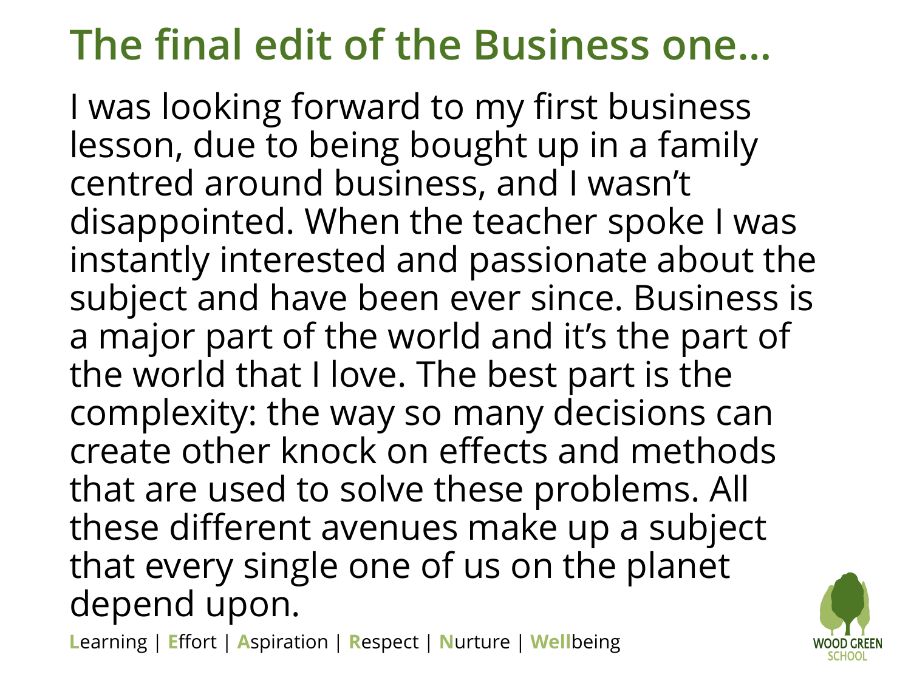## **The final edit of the Business one…**

I was looking forward to my first business lesson, due to being bought up in a family centred around business, and I wasn't disappointed. When the teacher spoke I was instantly interested and passionate about the subject and have been ever since. Business is a major part of the world and it's the part of the world that I love. The best part is the complexity: the way so many decisions can create other knock on effects and methods that are used to solve these problems. All these different avenues make up a subject that every single one of us on the planet depend upon.

![](_page_8_Picture_3.jpeg)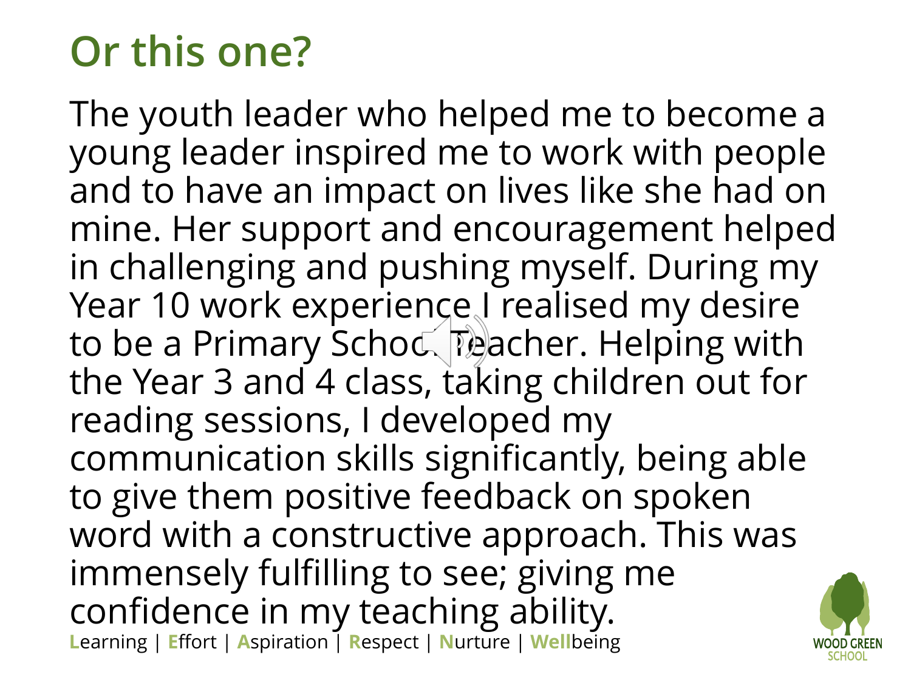## **Or this one?**

**L**earning | **E**ffort | **A**spiration | **R**espect | **N**urture | **Well**being The youth leader who helped me to become a young leader inspired me to work with people and to have an impact on lives like she had on mine. Her support and encouragement helped in challenging and pushing myself. During my Year 10 work experience I realised my desire to be a Primary Schod Teacher. Helping with the Year 3 and 4 class, taking children out for reading sessions, I developed my communication skills significantly, being able to give them positive feedback on spoken word with a constructive approach. This was immensely fulfilling to see; giving me confidence in my teaching ability.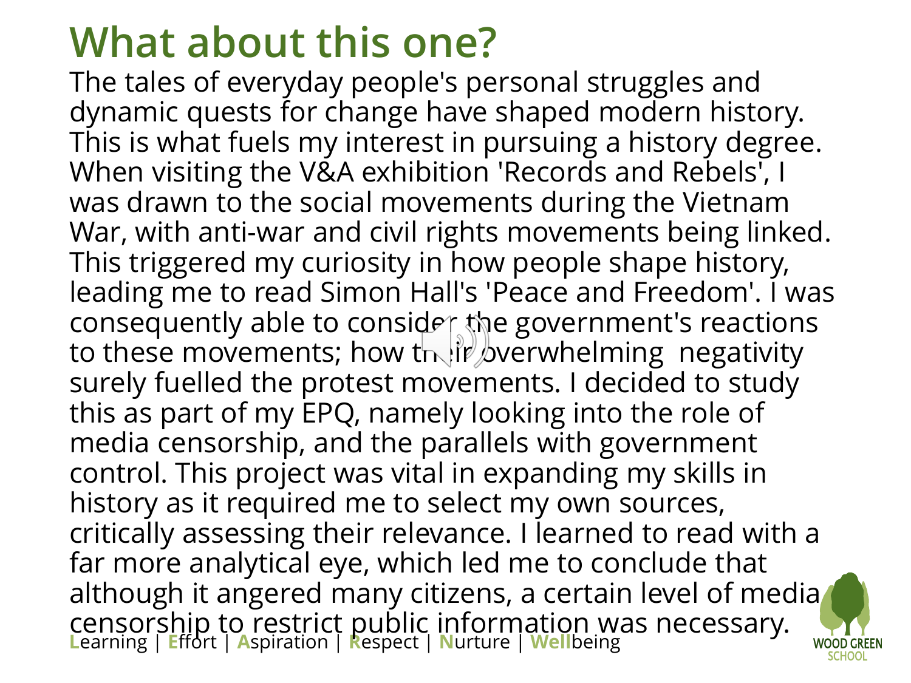### **What about this one?**

**L**earning | **E**ffort | **A**spiration | **R**espect | **N**urture | **Well**being The tales of everyday people's personal struggles and dynamic quests for change have shaped modern history. This is what fuels my interest in pursuing a history degree. When visiting the V&A exhibition 'Records and Rebels', I was drawn to the social movements during the Vietnam War, with anti-war and civil rights movements being linked. This triggered my curiosity in how people shape history, leading me to read Simon Hall's 'Peace and Freedom'. I was consequently able to consider the government's reactions to these movements; how their overwhelming negativity surely fuelled the protest movements. I decided to study this as part of my EPQ, namely looking into the role of media censorship, and the parallels with government control. This project was vital in expanding my skills in history as it required me to select my own sources, critically assessing their relevance. I learned to read with a far more analytical eye, which led me to conclude that although it angered many citizens, [a](Staff Meeting 7th June 2016.pptx) certain level of media censorship to restrict public information was necessary.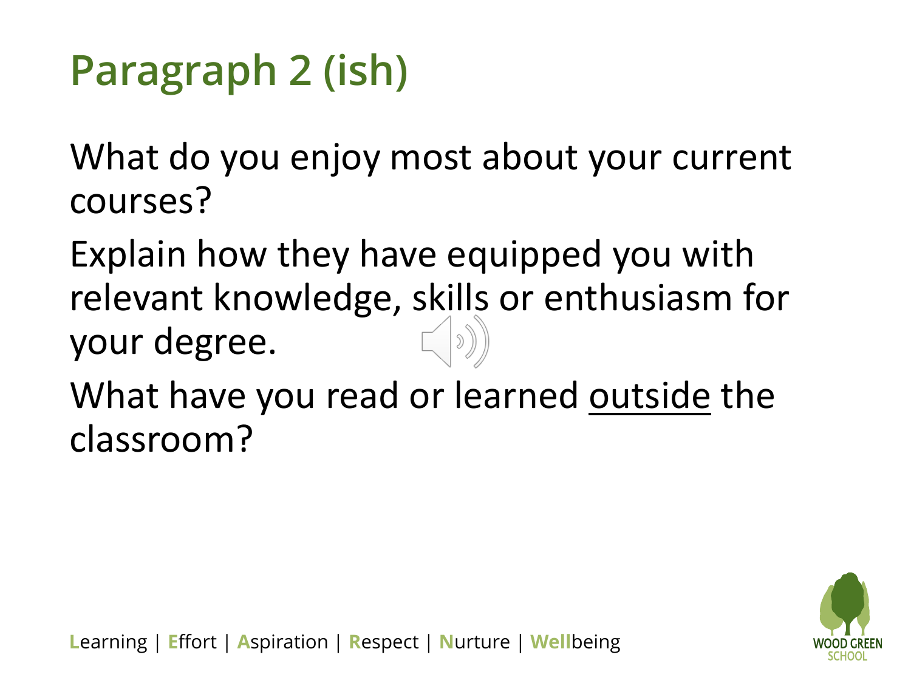## **Paragraph 2 (ish)**

What do you enjoy most about your current courses?

Explain how they have equipped you with relevant knowledge, skills or enthusiasm for your degree.

What have you read or learned outside the classroom?

![](_page_11_Picture_4.jpeg)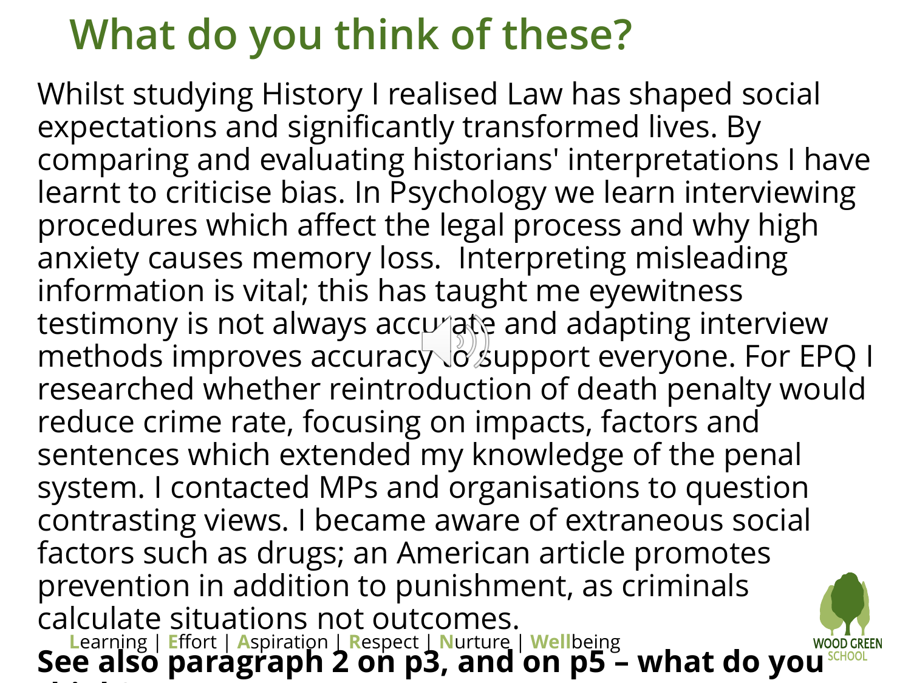### **What do you think of these?**

**L**earning | **E**ffort | **A**spiration | **R**espect | **N**urture | **Well**being Whilst studying History I realised Law has shaped social expectations and significantly transformed lives. By comparing and evaluating historians' interpretations I have learnt to criticise bias. In Psychology we learn interviewing procedures which affect the legal process and why high anxiety causes memory loss. Interpreting misleading information is vital; this has taught me eyewitness testimony is not always accurate and adapting interview methods improves accuracy o support everyone. For EPQ I researched whether reintroduction of death penalty would reduce crime rate, focusing on impacts, factors and sentences which extended my knowledge of the penal system. I contacted MPs and organisations to question contrasting views. I became aware of extraneous social factors such as drugs; an American article promotes prevention in addition to punishment, as criminals calculate situations not outcomes. **See also paragraph 2 on p3, and on p5 – what do yo[u](Staff Meeting 7th June 2016.pptx)  think?**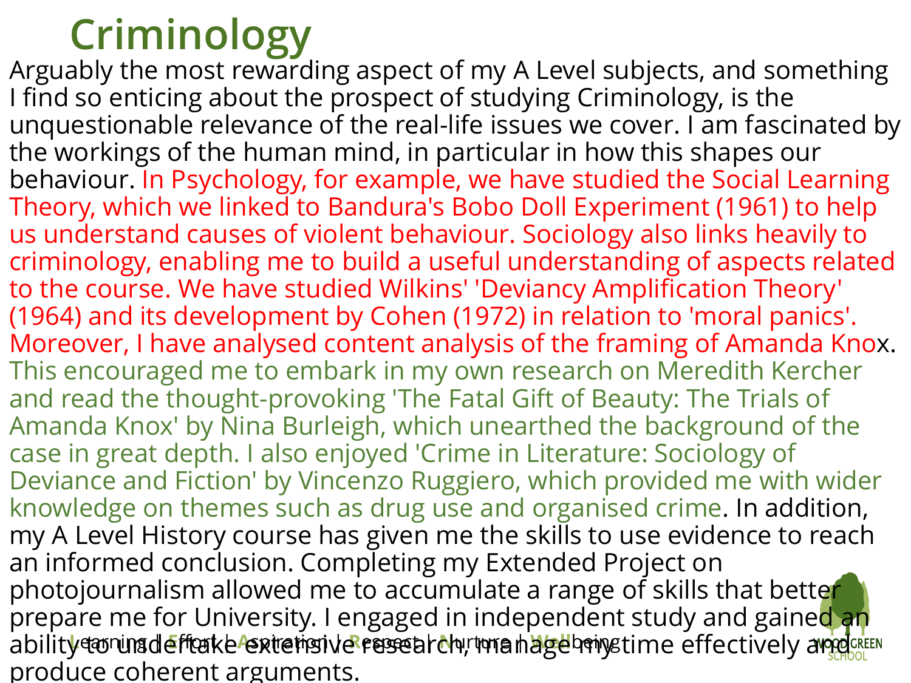#### **Criminology**

abilit<mark>y to runadefftake extensive research, manage hange time effectively an<mark>de</mark>s</mark> Arguably the most rewarding aspect of my A Level subjects, and something I find so enticing about the prospect of studying Criminology, is the unquestionable relevance of the real-life issues we cover. I am fascinated by the workings of the human mind, in particular in how this shapes our behaviour. In Psychology, for example, we have studied the Social Learning Theory, which we linked to Bandura's Bobo Doll Experiment (1961) to help us understand causes of violent behaviour. Sociology also links heavily to criminology, enabling me to build a useful understanding of aspects related to the course. We have studied Wilkins' 'Deviancy Amplification Theory' (1964) and its development by Cohen (1972) in relation to 'moral panics'. Moreover, I have analysed content analysis of the framing of Amanda Knox. This encouraged me to embark in my own research on Meredith Kercher and read the thought-provoking 'The Fatal Gift of Beauty: The Trials of Amanda Knox' by Nina Burleigh, which unearthed the background of the case in great depth. I also enjoyed 'Crime in Literature: Sociology of Deviance and Fiction' by Vincenzo Ruggiero, which provided me with wider knowledge on themes such as drug use and organised crime. In addition, my A Level History course has given me the skills to use evidence to reach an informed conclusion. Completing my Extended Project on photojournalism allowed me to accumulate a range of skills that better prepare me for University. I engaged in independent study and gained an produce coherent arguments.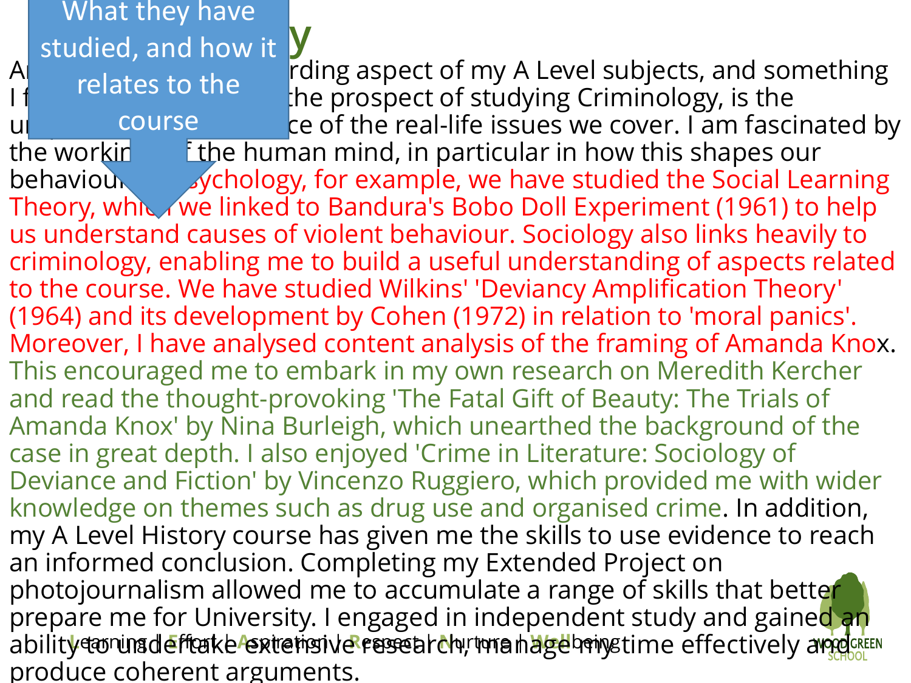abilit<mark>y to runadefftake extensive research, manage hange time effectively an<mark>de</mark>s</mark> **COLLEGGALIST**<br>Studied, and how it A<sub>l</sub> molates to the most reding aspect of my A Level subjects, and something the prospect of studying Criminology, is the und allow the course the real-life issues we cover. I am fascinated by the working the human mind, in particular in how this shapes our behaviour. In Psychology, for example, we have studied the Social Learning Theory, which we linked to Bandura's Bobo Doll Experiment (1961) to help us understand causes of violent behaviour. Sociology also links heavily to criminology, enabling me to build a useful understanding of aspects related to the course. We have studied Wilkins' 'Deviancy Amplification Theory' (1964) and its development by Cohen (1972) in relation to 'moral panics'. Moreover, I have analysed content analysis of the framing of Amanda Knox. This encouraged me to embark in my own research on Meredith Kercher and read the thought-provoking 'The Fatal Gift of Beauty: The Trials of Amanda Knox' by Nina Burleigh, which unearthed the background of the case in great depth. I also enjoyed 'Crime in Literature: Sociology of Deviance and Fiction' by Vincenzo Ruggiero, which provided me with wider knowledge on themes such as drug use and organised crime. In addition, my A Level History course has given me the skills to use evidence to reach an informed conclusion. Completing my Extended Project on photojournalism allowed me to accumulate a range of skills that better prepare me for University. I engaged in independent study and gained an produce coherent arguments. What they have relates to the course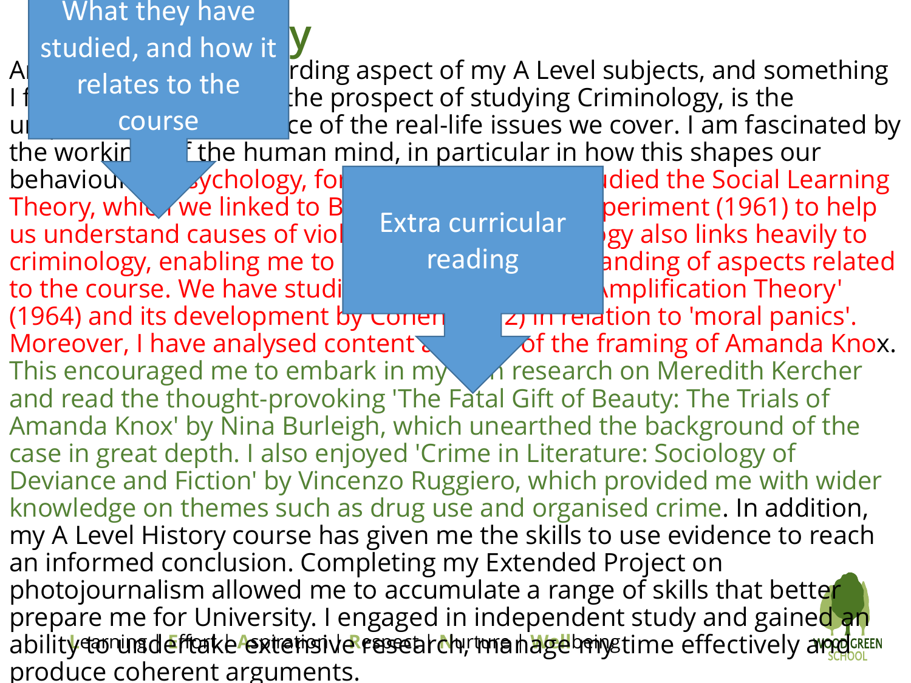**COLLEGGALIST**<br>Studied, and how it What they have

relates to the

course

A<sub>l</sub> molates to the most reding aspect of my A Level subjects, and something the prospect of studying Criminology, is the und universem the real-life issues we cover. I am fascinated by the working the human mind, in particular in how this shapes our

> Extra curricular reading

**behaviour.** In Psychology, for example, we have social Learning behaviour studied the Social Learning Theory, which we linked to Bandura's Bobo Deriment (1961) to help us understand causes of violent battle culticulary single space links heavily to criminology, enabling me to huild a useful up and a useful a spects related to the course. We have studied Wilkins' 'Device' in Amplification Theory'

abilit<mark>y to runadefftake extensive research, manage hange time effectively an<mark>de</mark>s</mark> (1964) and its development by conen  $\qquad$   $\qquad$   $\qquad$   $\qquad$   $\qquad$   $\qquad$   $\qquad$   $\qquad$   $\qquad$   $\qquad$   $\qquad$   $\qquad$   $\qquad$   $\qquad$   $\qquad$   $\qquad$   $\qquad$   $\qquad$   $\qquad$   $\qquad$   $\qquad$   $\qquad$   $\qquad$   $\qquad$   $\qquad$   $\qquad$   $\qquad$   $\qquad$   $\qquad$   $\qquad$   $\qquad$ Moreover, I have analysed content and  $\sim$  of the framing of Amanda Knox. This encouraged me to embark in my only research on Meredith Kercher and read the thought-provoking 'The Fatal Gift of Beauty: The Trials of Amanda Knox' by Nina Burleigh, which unearthed the background of the case in great depth. I also enjoyed 'Crime in Literature: Sociology of Deviance and Fiction' by Vincenzo Ruggiero, which provided me with wider knowledge on themes such as drug use and organised crime. In addition, my A Level History course has given me the skills to use evidence to reach an informed conclusion. Completing my Extended Project on photojournalism allowed me to accumulate a range of skills that better prepare me for University. I engaged in independent study and gained an produce coherent arguments.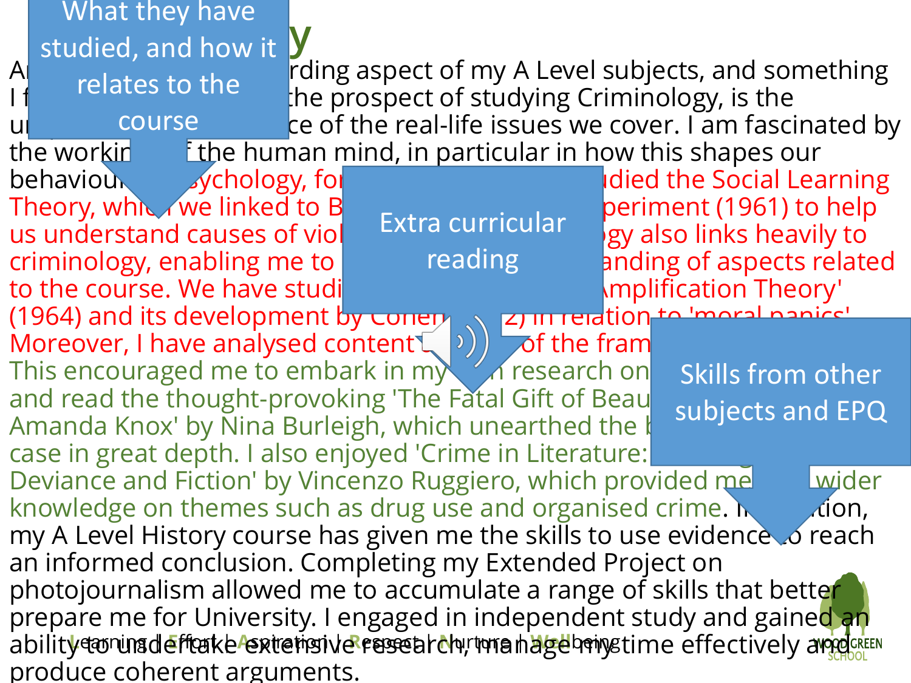|                                                                                                                           | What they have                                              |                                                         |                                                    |  |                                  |  |  |
|---------------------------------------------------------------------------------------------------------------------------|-------------------------------------------------------------|---------------------------------------------------------|----------------------------------------------------|--|----------------------------------|--|--|
|                                                                                                                           | studied, and how it                                         |                                                         |                                                    |  |                                  |  |  |
| $\bigwedge$                                                                                                               | relates to the                                              |                                                         | rding aspect of my A Level subjects, and something |  |                                  |  |  |
|                                                                                                                           |                                                             | the prospect of studying Criminology, is the            |                                                    |  |                                  |  |  |
|                                                                                                                           | course                                                      | ce of the real-life issues we cover. I am fascinated by |                                                    |  |                                  |  |  |
|                                                                                                                           | the workin                                                  | E the human mind, in particular in how this shapes our  |                                                    |  |                                  |  |  |
|                                                                                                                           | sychology, fol<br>behaviour                                 |                                                         |                                                    |  | <b>Idied the Social Learning</b> |  |  |
|                                                                                                                           | Theory, which we linked to B                                |                                                         |                                                    |  | periment (1961) to help          |  |  |
|                                                                                                                           | us understand causes of viol                                |                                                         | Extra curricular                                   |  | gy also links heavily to         |  |  |
|                                                                                                                           | criminology, enabling me to                                 |                                                         | reading                                            |  | anding of aspects related        |  |  |
| to the course. We have studi<br><b>\mplification Theory'</b>                                                              |                                                             |                                                         |                                                    |  |                                  |  |  |
| (1964) and its development by conery (a) Entertain to moral panicular Moreover, I have analysed content (b) and the frame |                                                             |                                                         |                                                    |  |                                  |  |  |
|                                                                                                                           |                                                             |                                                         |                                                    |  |                                  |  |  |
|                                                                                                                           | This encouraged me to embark in my a research on            |                                                         |                                                    |  | <b>Skills from other</b>         |  |  |
| and read the thought-provoking 'The Fatal Gift of Beau<br>subjects and EPQ                                                |                                                             |                                                         |                                                    |  |                                  |  |  |
|                                                                                                                           | Amanda Knox' by Nina Burleigh, which unearthed the $\sharp$ |                                                         |                                                    |  |                                  |  |  |
| case in great depth. I also enjoyed 'Crime in Literature:                                                                 |                                                             |                                                         |                                                    |  |                                  |  |  |
| Deviance and Fiction' by Vincenzo Ruggiero, which provided me<br>Lwider                                                   |                                                             |                                                         |                                                    |  |                                  |  |  |
| knowledge on themes such as drug use and organised crime. $\mathbf{h}$<br>$\chi$ ion,                                     |                                                             |                                                         |                                                    |  |                                  |  |  |
| my A Level History course has given me the skills to use evidence to reach                                                |                                                             |                                                         |                                                    |  |                                  |  |  |
| an informed conclusion. Completing my Extended Project on                                                                 |                                                             |                                                         |                                                    |  |                                  |  |  |
| photojournalism allowed me to accumulate a range of skills that better                                                    |                                                             |                                                         |                                                    |  |                                  |  |  |
| prepare me for University. I engaged in independent study and gained an                                                   |                                                             |                                                         |                                                    |  |                                  |  |  |
| ability coning deffeake extremsive research runa hage home ime effectively arends                                         |                                                             |                                                         |                                                    |  |                                  |  |  |
|                                                                                                                           | produce coherent arguments.                                 |                                                         |                                                    |  |                                  |  |  |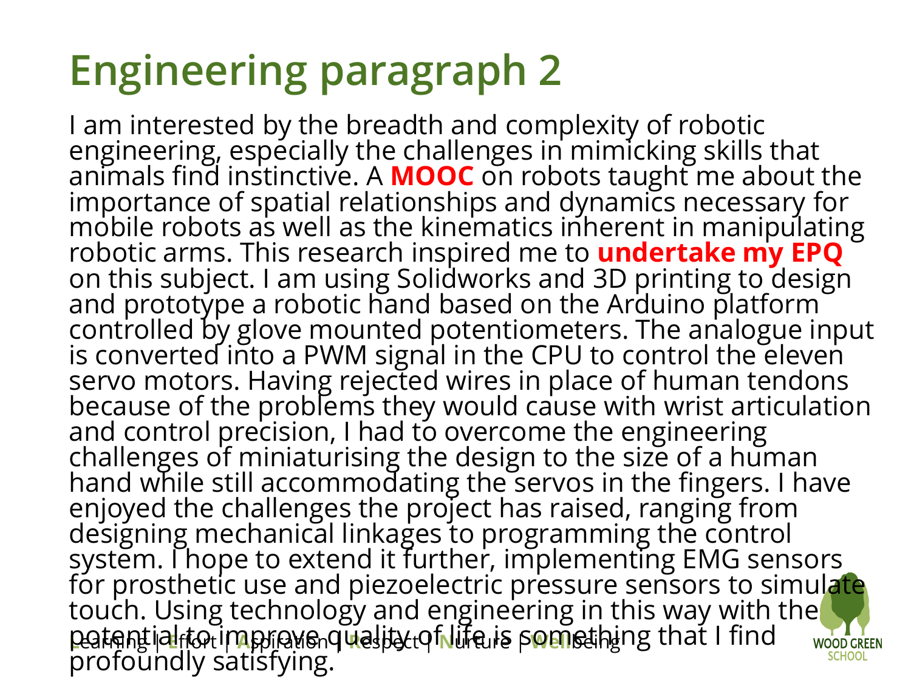## **Engineering paragraph 2**

**L**earning | **E**ffort | **A**spiration | **R**espect | **N**urture | **Well**being I am interested by the breadth and complexity of robotic engineering, especially the challenges in mimicking skills that animals find instinctive. A **MOOC** on robots taught me about the importance of spatial relationships and dynamics necessary for mobile robots as well as the kinematics inherent in manipulating robotic arms. This research inspired me to **undertake my EPQ**  on this subject. I am using Solidworks and 3D printing to design and prototype a robotic hand based on the Arduino platform` controlled by glove mounted potentiometers. The analogue input is converted into a PWM signal in the CPU to control the eleven servo motors. Having rejected wires in place of human tendons because of the problems they would cause with wrist articulation and control precision, I had to overcome the engineering challenges of miniaturising the design to the size of a human hand while still accommodating the servos in the fingers. I have enjoyed the challenges the project has raised, ranging from designing mechanical linkages to programming the control system. I hope to extend it further, implementing EMG sensors  $\overline{\phantom{a}}$ for prosthetic use and piezoelectric pressure sensors to simulate touch. Using technology and engineering in this way with the potential to improve quality of life is something that I find profoundly satisfying.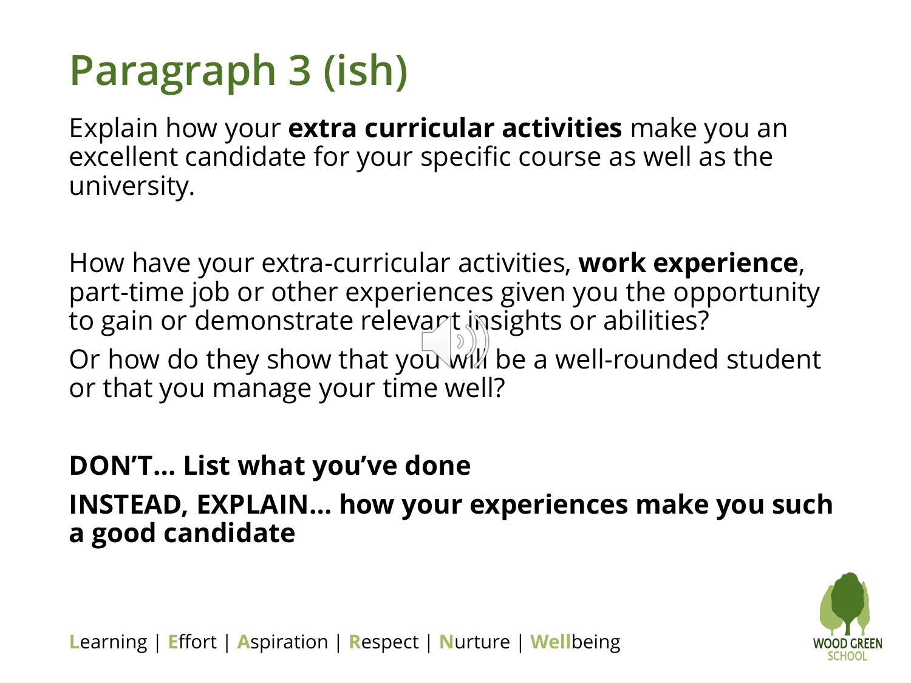## **Paragraph 3 (ish)**

Explain how your **extra curricular activities** make you an excellent candidate for your specific course as well as the university.

How have your extra-curricular activities, **work experience**, part-time job or other experiences given you the opportunity to gain or demonstrate relevant insights or abilities? Or how do they show that you will be a well-rounded student or that you manage your time well?

#### **DON'T… List what you've done INSTEAD, EXPLAIN… how your experiences make you such a good candidate**

![](_page_18_Picture_4.jpeg)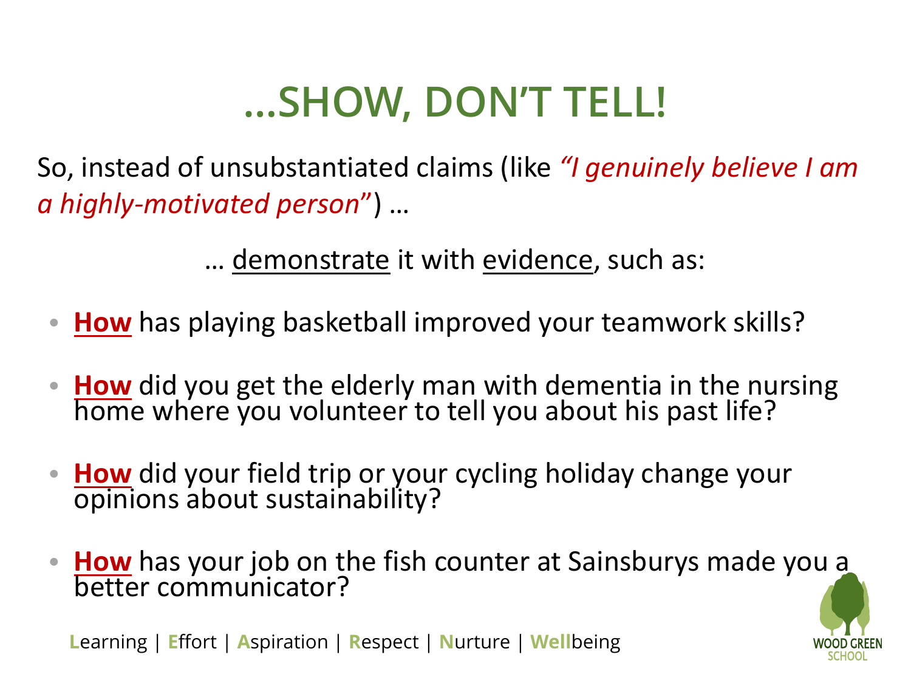### **…SHOW, DON'T TELL!**

So, instead of unsubstantiated claims (like *"I genuinely believe I am a highly-motivated person*") …

… demonstrate it with evidence, such as:

- **How** has playing basketball improved your teamwork skills?
- **How** did you get the elderly man with dementia in the nursing home where you volunteer to tell you about his past life?
- **How** did your field trip or your cycling holiday change your opinions about sustainability?
- **How** has your job on the fish counter at Sainsburys made yo[u a](Staff Meeting 7th June 2016.pptx)  better communicator?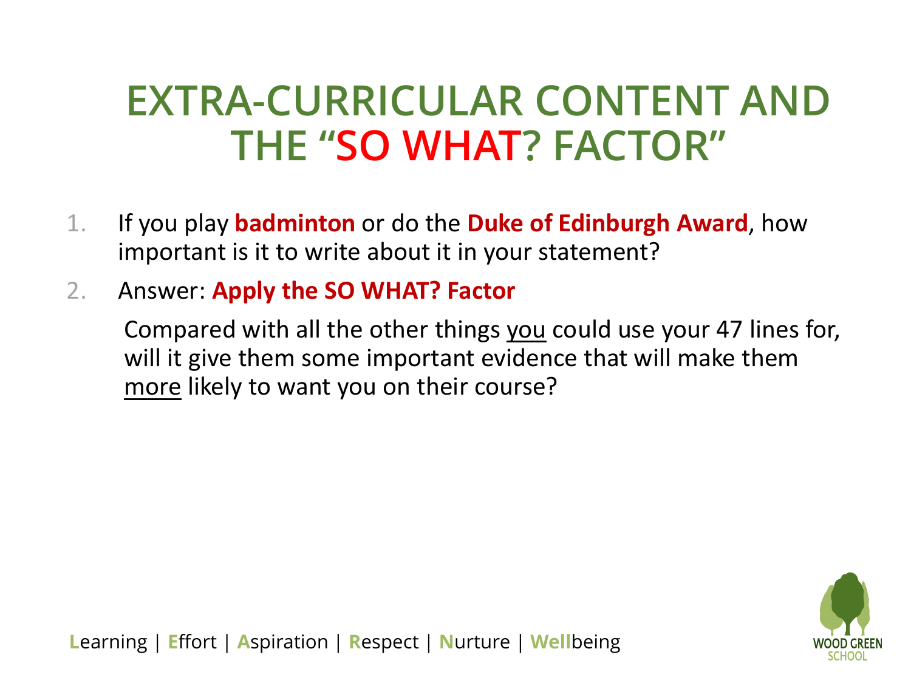#### **EXTRA-CURRICULAR CONTENT AND THE "SO WHAT? FACTOR"**

- 1. If you play **badminton** or do the **Duke of Edinburgh Award**, how important is it to write about it in your statement?
- 2. Answer: **Apply the SO WHAT? Factor**

Compared with all the other things you could use your 47 lines for, will it give them some important evidence that will make them more likely to want you on their course?

![](_page_20_Picture_4.jpeg)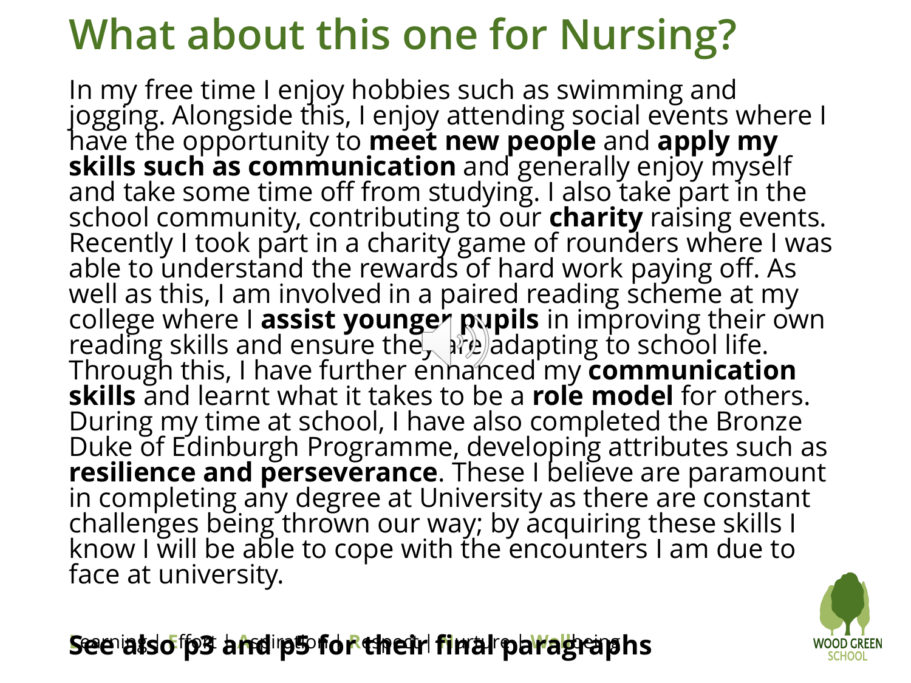## **What about this one for Nursing?**

In my free time I enjoy hobbies such as swimming and jogging. Alongside this, I enjoy attending social events where I have the opportunity to **meet new people** and **apply my skills such as communication** and generally enjoy myself and take some time off from studying. I also take part in the school community, contributing to our **charity** raising events. Recently I took part in a charity game of rounders where I was able to understand the rewards of hard work paying off. As well as this, I am involved in a paired reading scheme at my college where I **assist younger pupils** in improving their own reading skills and ensure the  $\mathbb{R}^n$  adapting to school life. Through this, I have further enhanced my **communication skills** and learnt what it takes to be a **role model** for others. During my time at school, I have also completed the Bronze Duke of Edinburgh Programme, developing attributes such as **resilience and perseverance**. These I believe are paramount in completing any degree at University as there are constant challenges being thrown our way; by acquiring these skills I know I will be able to cope with the encounters I am due to face at university.

**L**earning | **E**ffort | **A**spiration | **R**espect | **N**urture | **Well**being **See also p3 and p5 for their final paragraphs**

![](_page_21_Picture_3.jpeg)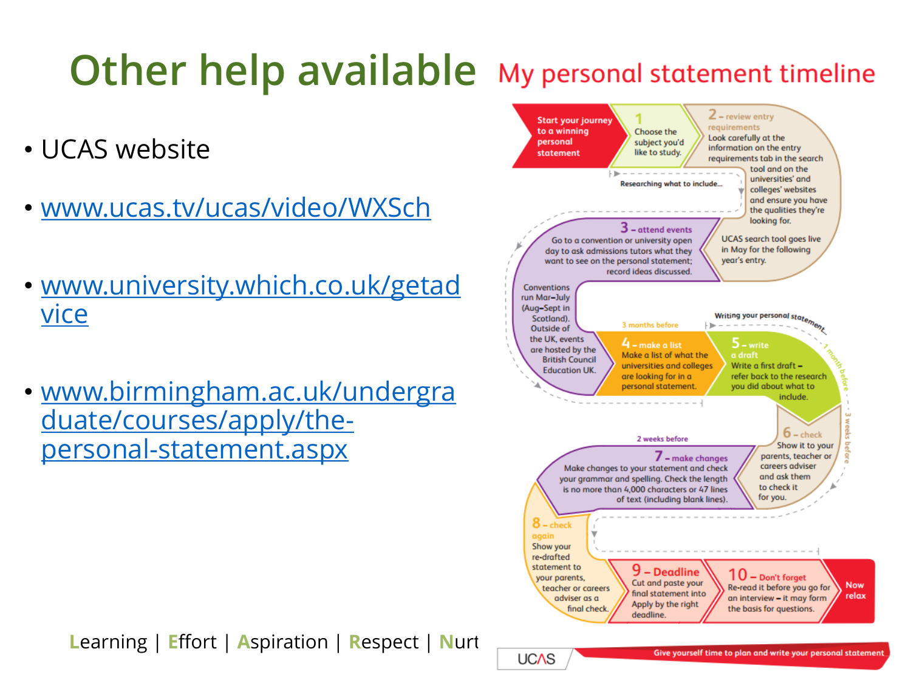#### **Other help available** My personal statement timeline

- UCAS website
- [www.ucas.tv/ucas/video/WXSch](http://www.ucas.tv/ucas/video/WXSch)
- [www.university.which.co.uk/getad](http://www.university.which.co.uk/getadvice) vice
- [www.birmingham.ac.uk/undergra](http://www.birmingham.ac.uk/undergraduate/courses/apply/the-personal-statement.aspx) duate/courses/apply/thepersonal-statement.aspx

![](_page_22_Figure_5.jpeg)

**Learning | Effort | Aspiration | Respect | Nurture | UCAS**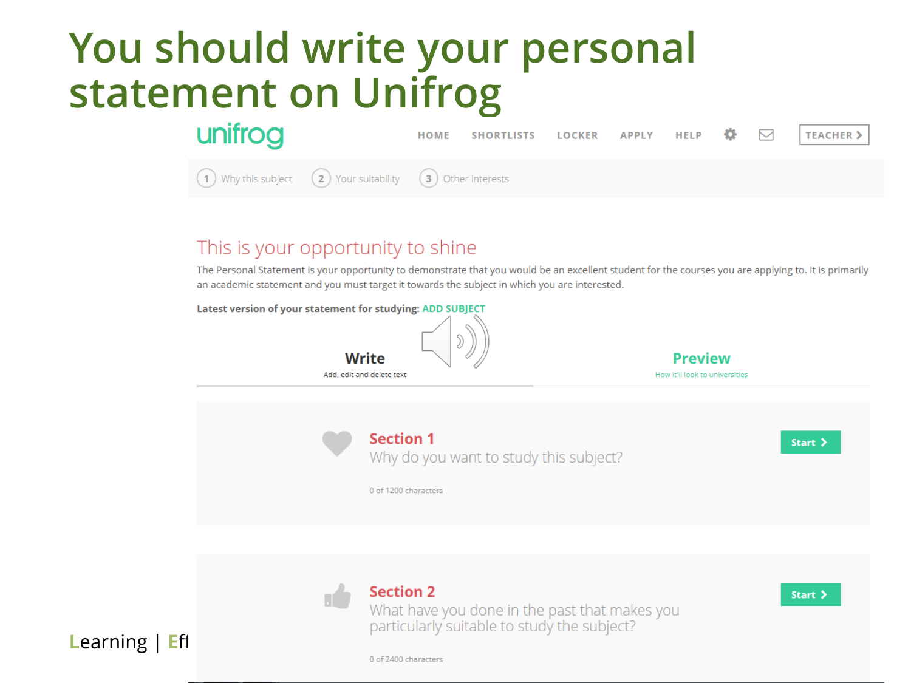#### **You should write your personal statement on Unifrog**

![](_page_23_Picture_1.jpeg)

#### This is your opportunity to shine

The Personal Statement is your opportunity to demonstrate that you would be an excellent student for the courses you are applying to. It is primarily an academic statement and you must target it towards the subject in which you are interested.

#### Latest version of your statement for studying: ADD SUBJECT

![](_page_23_Picture_5.jpeg)

![](_page_23_Picture_6.jpeg)

![](_page_23_Picture_7.jpeg)

What have you done in the past that makes you particularly suitable to study the subject?

Start >

0 of 2400 characters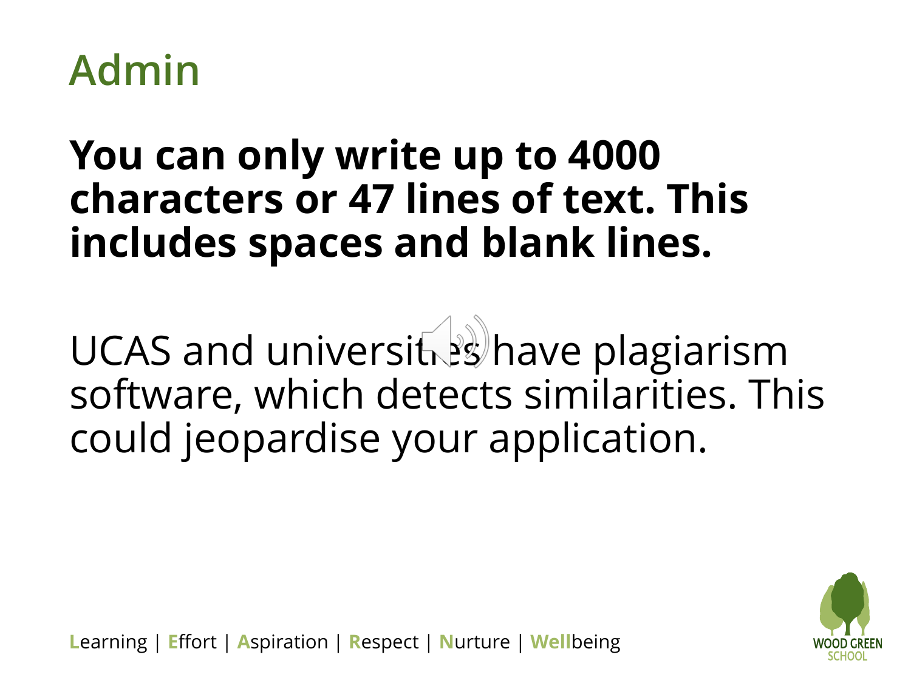![](_page_24_Picture_0.jpeg)

#### **You can only write up to 4000 characters or 47 lines of text. This includes spaces and blank lines.**

UCAS and universities have plagiarism software, which detects similarities. This could jeopardise your application.

![](_page_24_Picture_3.jpeg)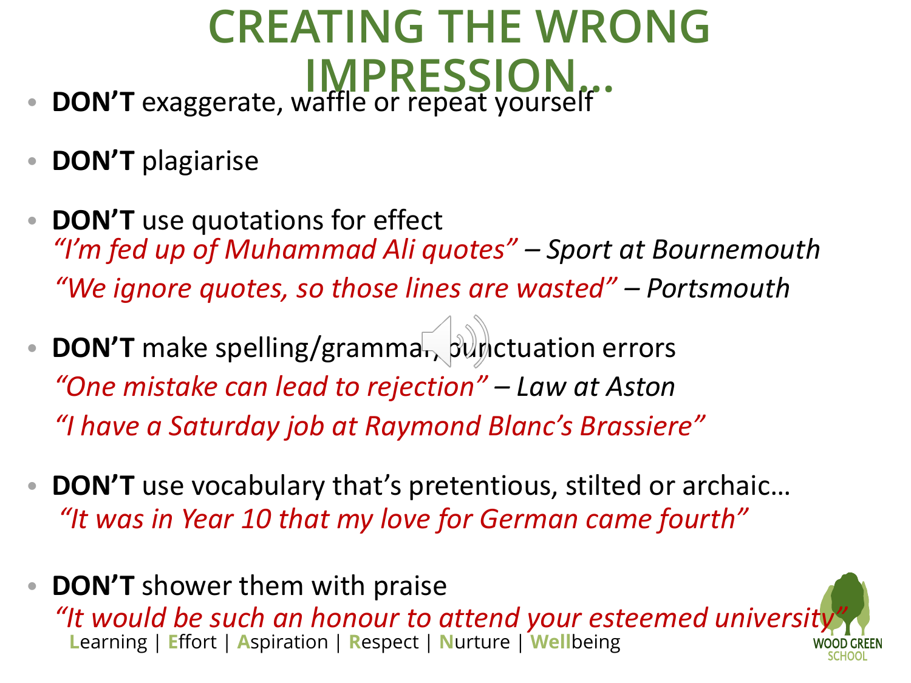#### **CREATING THE WRONG IMPRESSION…** • **DON'T** exaggerate, waffle or repeat yourself

- **DON'T** plagiarise
- **DON'T** use quotations for effect *"I'm fed up of Muhammad Ali quotes" – Sport at Bournemouth "We ignore quotes, so those lines are wasted" – Portsmouth*
- **DON'T** make spelling/grammar, punctuation errors *"One mistake can lead to rejection" – Law at Aston "I have a Saturday job at Raymond Blanc's Brassiere"*
- **DON'T** use vocabulary that's pretentious, stilted or archaic… *"It was in Year 10 that my love for German came fourth"*
- **L**earning | **E**ffort | **A**spiration | **R**espect | **N**urture | **Well**being • **DON'T** shower them with praise "It would be such an honour to attend your esteemed universit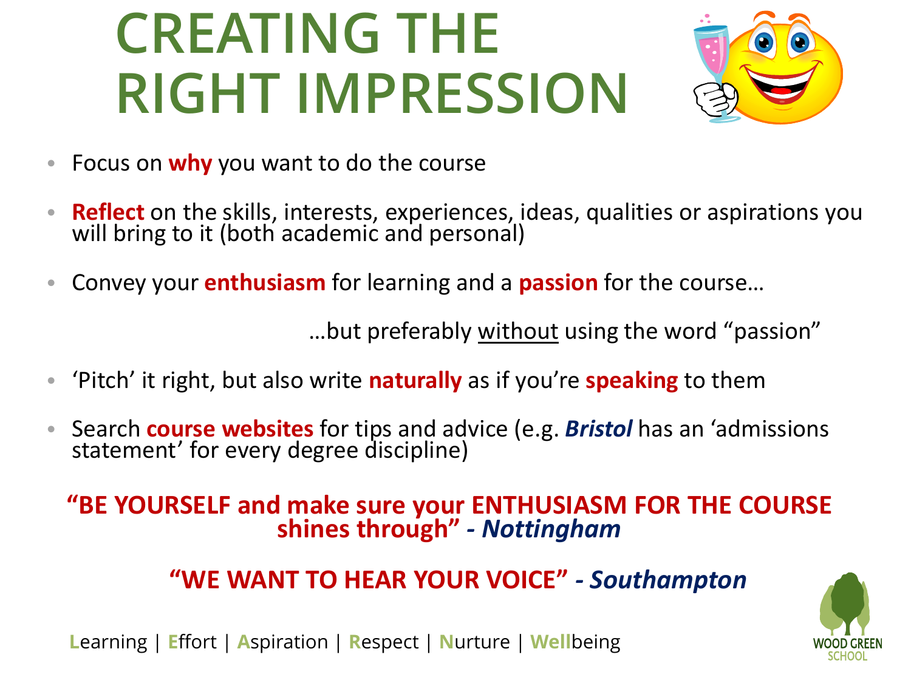# **CREATING THE RIGHT IMPRESSION**

![](_page_26_Picture_1.jpeg)

- Focus on **why** you want to do the course
- **Reflect** on the skills, interests, experiences, ideas, qualities or aspirations you will bring to it (both academic and personal)
- Convey your **enthusiasm** for learning and a **passion** for the course…

…but preferably without using the word "passion"

- 'Pitch' it right, but also write **naturally** as if you're **speaking** to them
- Search **course websites** for tips and advice (e.g. *Bristol* has an 'admissions statement' for every degree discipline)

#### **"BE YOURSELF and make sure your ENTHUSIASM FOR THE COURSE shines through"** *- Nottingham*

#### **"WE WANT TO HEAR YOUR VOICE"** *- Southampton*

![](_page_26_Picture_10.jpeg)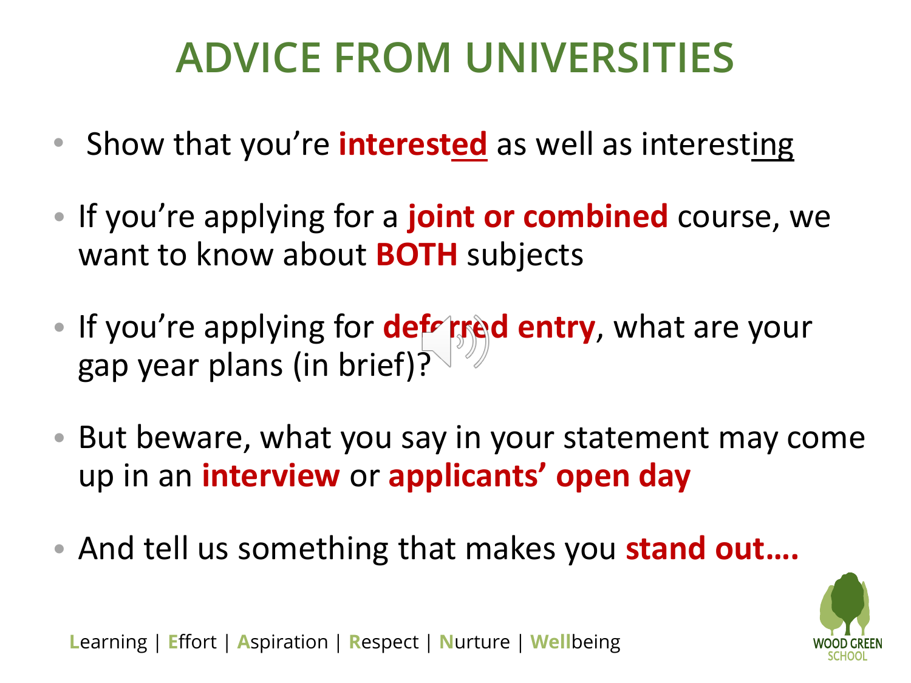### **ADVICE FROM UNIVERSITIES**

- Show that you're **interested** as well as interesting
- If you're applying for a **joint or combined** course, we want to know about **BOTH** subjects
- If you're applying for **deferred entry**, what are your gap year plans (in brief)?
- But beware, what you say in your statement may come up in an **interview** or **applicants' open day**
- And tell us something that makes you **stand out….**

![](_page_27_Picture_6.jpeg)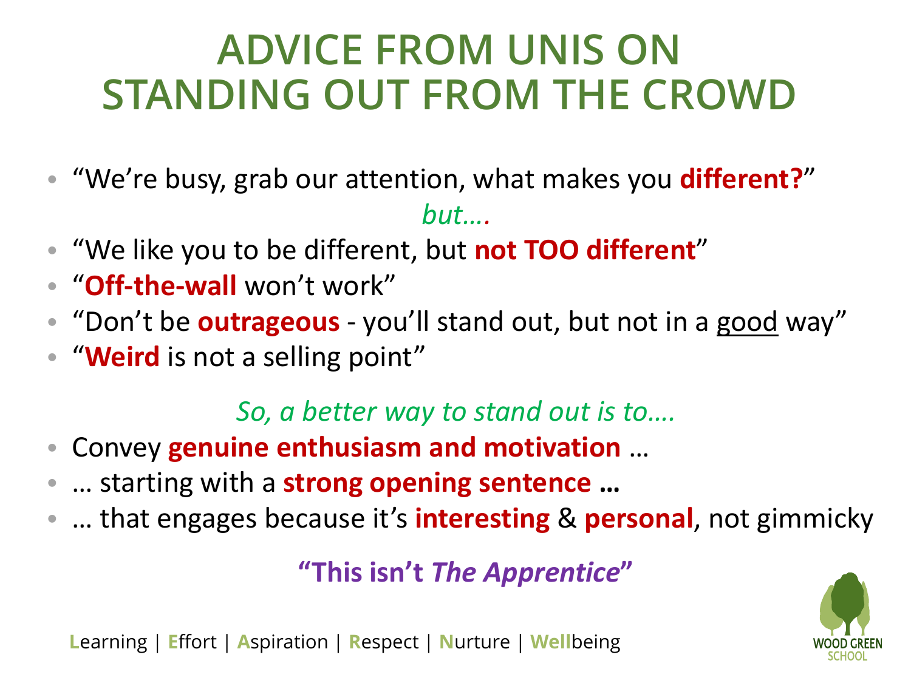### **ADVICE FROM UNIS ON STANDING OUT FROM THE CROWD**

- "We're busy, grab our attention, what makes you **different?**" *but….*
- "We like you to be different, but **not TOO different**"
- "**Off-the-wall** won't work"
- "Don't be **outrageous** you'll stand out, but not in a good way"
- "**Weird** is not a selling point"

#### *So, a better way to stand out is to….*

- Convey **genuine enthusiasm and motivation** …
- … starting with a **strong opening sentence …**
- … that engages because it's **interesting** & **personal**, not gimmicky

**"This isn't** *The Apprentice***"** 

![](_page_28_Picture_11.jpeg)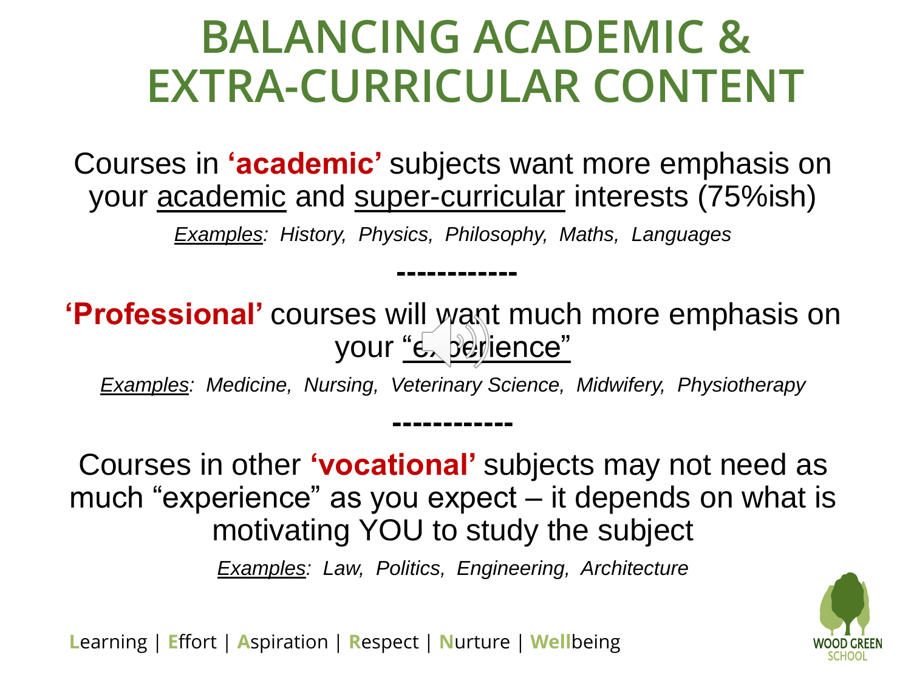### **BALANCING ACADEMIC & EXTRA-CURRICULAR CONTENT**

Courses in **'academic'** subjects want more emphasis on your academic and super-curricular interests (75%ish)

*Examples: History, Physics, Philosophy, Maths, Languages* 

**------------**

**'Professional'** courses will want much more emphasis on your "experience"

*Examples: Medicine, Nursing, Veterinary Science, Midwifery, Physiotherapy* 

**------------**

Courses in other **'vocational'** subjects may not need as much "experience" as you expect – it depends on what is motivating YOU to study the subject

*Examples: Law, Politics, Engineering, Architecture* 

![](_page_29_Picture_7.jpeg)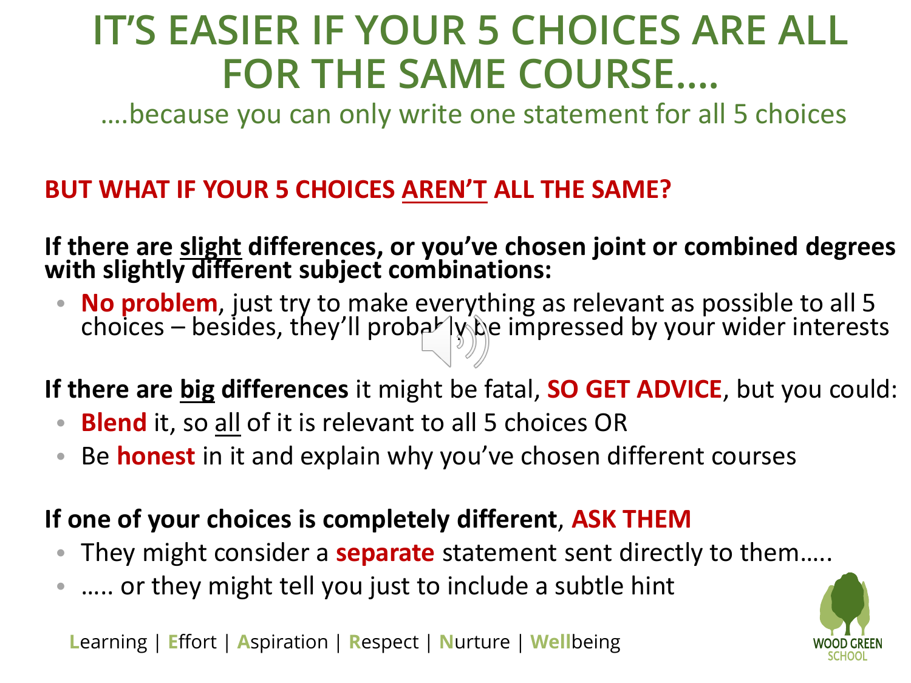#### **IT'S EASIER IF YOUR 5 CHOICES ARE ALL FOR THE SAME COURSE….**

….because you can only write one statement for all 5 choices

#### **BUT WHAT IF YOUR 5 CHOICES AREN'T ALL THE SAME?**

**If there are slight differences, or you've chosen joint or combined degrees with slightly different subject combinations:**

• **No problem**, just try to make everything as relevant as possible to all 5 choices – besides, they'll proba $\nu$  lybe impressed by your wider interests

**If there are big differences** it might be fatal, **SO GET ADVICE**, but you could:

- **Blend** it, so all of it is relevant to all 5 choices OR
- Be **honest** in it and explain why you've chosen different courses

#### **If one of your choices is completely different**, **ASK THEM**

- They might consider a **separate** statement sent directly to them…..
- ..... or they might tell you just to include a subtle hint

![](_page_30_Picture_12.jpeg)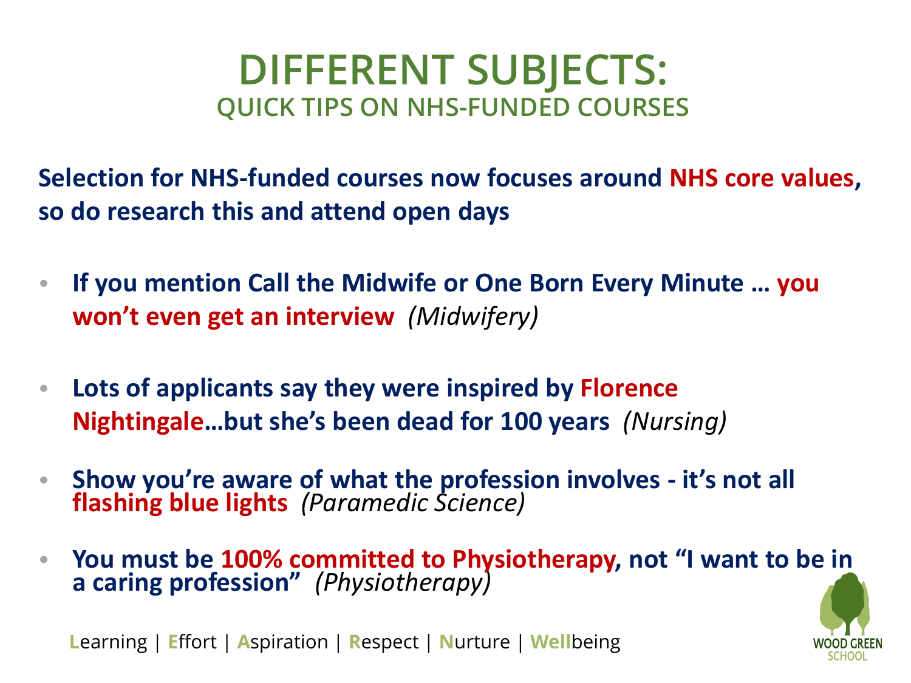#### **DIFFERENT SUBJECTS: QUICK TIPS ON NHS-FUNDED COURSES**

**Selection for NHS-funded courses now focuses around NHS core values, so do research this and attend open days**

- **If you mention Call the Midwife or One Born Every Minute … you won't even get an interview** *(Midwifery)*
- **Lots of applicants say they were inspired by Florence Nightingale…but she's been dead for 100 years** *(Nursing)*
- **Show you're aware of what the profession involves - it's not all flashing blue lights** *(Paramedic Science)*
- **You must be 100% committed to Physiotherapy, not "I want to b[e in](Staff Meeting 7th June 2016.pptx)  a caring profession"** *(Physiotherapy)*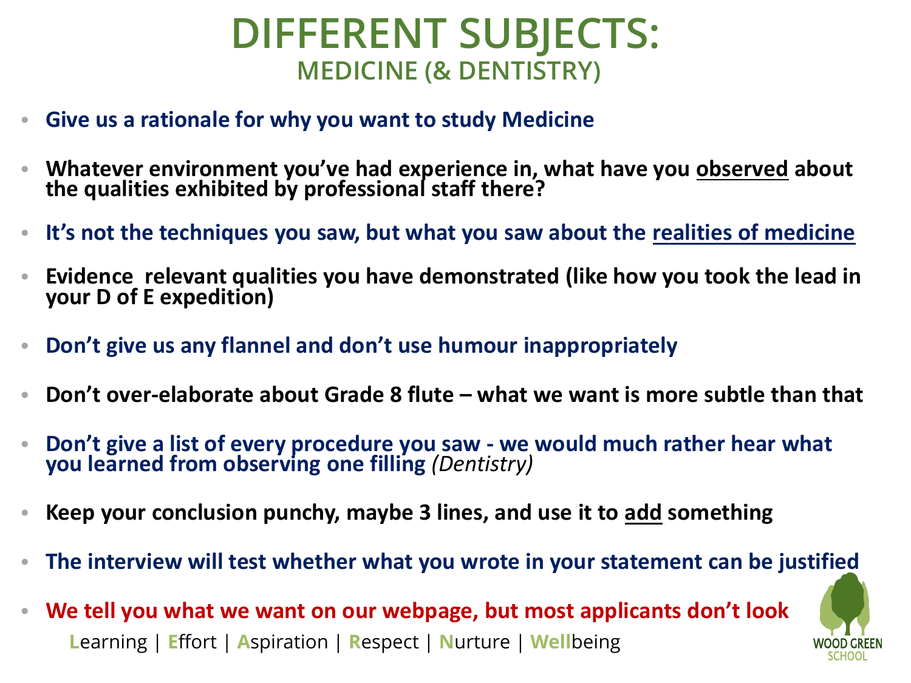#### **DIFFERENT SUBJECTS: MEDICINE (& DENTISTRY)**

- **Give us a rationale for why you want to study Medicine**
- **Whatever environment you've had experience in, what have you observed about the qualities exhibited by professional staff there?**
- **It's not the techniques you saw, but what you saw about the realities of medicine**
- **Evidence relevant qualities you have demonstrated (like how you took the lead in your D of E expedition)**
- **Don't give us any flannel and don't use humour inappropriately**
- **Don't over-elaborate about Grade 8 flute – what we want is more subtle than that**
- **Don't give a list of every procedure you saw - we would much rather hear what you learned from observing one filling** *(Dentistry)*
- **Keep your conclusion punchy, maybe 3 lines, and use it to add something**
- **The interview will test whether what you wrote in your statement can be jus[tified](Staff Meeting 7th June 2016.pptx)**
- **L**earning | **E**ffort | **A**spiration | **R**espect | **N**urture | **Well**being • **We tell you what we want on our webpage, but most applicants don't look**

![](_page_32_Picture_11.jpeg)